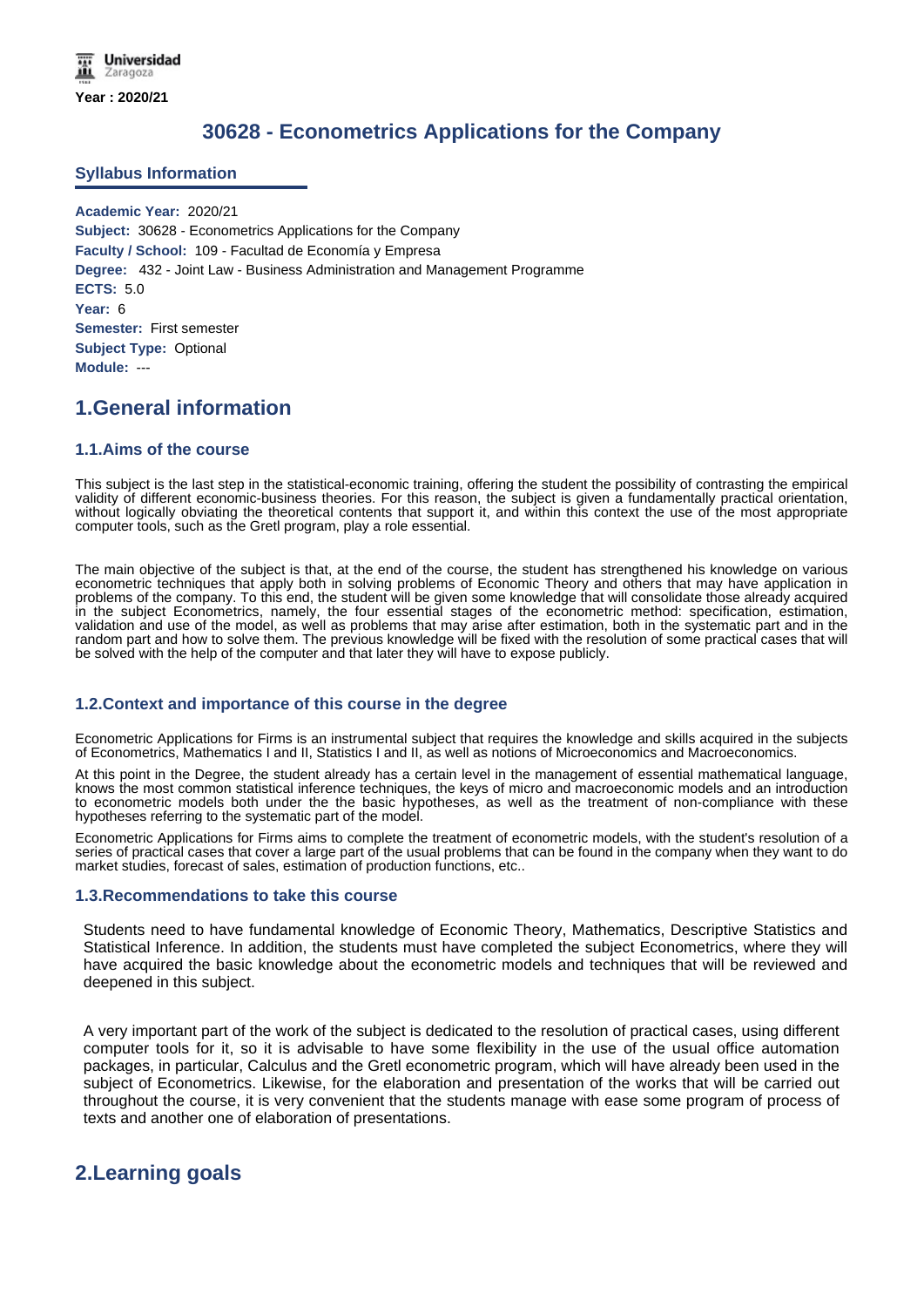# **30628 - Econometrics Applications for the Company**

### **Syllabus Information**

**Academic Year:** 2020/21 **Subject:** 30628 - Econometrics Applications for the Company **Faculty / School:** 109 - Facultad de Economía y Empresa **Degree:** 432 - Joint Law - Business Administration and Management Programme **ECTS:** 5.0 **Year:** 6 **Semester:** First semester **Subject Type:** Optional **Module:** ---

# **1.General information**

### **1.1.Aims of the course**

This subject is the last step in the statistical-economic training, offering the student the possibility of contrasting the empirical validity of different economic-business theories. For this reason, the subject is given a fundamentally practical orientation, without logically obviating the theoretical contents that support it, and within this context the use of the most appropriate computer tools, such as the Gretl program, play a role essential.

The main objective of the subject is that, at the end of the course, the student has strengthened his knowledge on various econometric techniques that apply both in solving problems of Economic Theory and others that may have application in problems of the company. To this end, the student will be given some knowledge that will consolidate those already acquired in the subject Econometrics, namely, the four essential stages of the econometric method: specification, estimation, validation and use of the model, as well as problems that may arise after estimation, both in the systematic part and in the random part and how to solve them. The previous knowledge will be fixed with the resolution of some practical cases that will be solved with the help of the computer and that later they will have to expose publicly.

### **1.2.Context and importance of this course in the degree**

Econometric Applications for Firms is an instrumental subject that requires the knowledge and skills acquired in the subjects of Econometrics, Mathematics I and II, Statistics I and II, as well as notions of Microeconomics and Macroeconomics.

At this point in the Degree, the student already has a certain level in the management of essential mathematical language, knows the most common statistical inference techniques, the keys of micro and macroeconomic models and an introduction to econometric models both under the the basic hypotheses, as well as the treatment of non-compliance with these hypotheses referring to the systematic part of the model.

Econometric Applications for Firms aims to complete the treatment of econometric models, with the student's resolution of a series of practical cases that cover a large part of the usual problems that can be found in the company when they want to do market studies, forecast of sales, estimation of production functions, etc..

### **1.3.Recommendations to take this course**

Students need to have fundamental knowledge of Economic Theory, Mathematics, Descriptive Statistics and Statistical Inference. In addition, the students must have completed the subject Econometrics, where they will have acquired the basic knowledge about the econometric models and techniques that will be reviewed and deepened in this subject.

A very important part of the work of the subject is dedicated to the resolution of practical cases, using different computer tools for it, so it is advisable to have some flexibility in the use of the usual office automation packages, in particular, Calculus and the Gretl econometric program, which will have already been used in the subject of Econometrics. Likewise, for the elaboration and presentation of the works that will be carried out throughout the course, it is very convenient that the students manage with ease some program of process of texts and another one of elaboration of presentations.

## **2.Learning goals**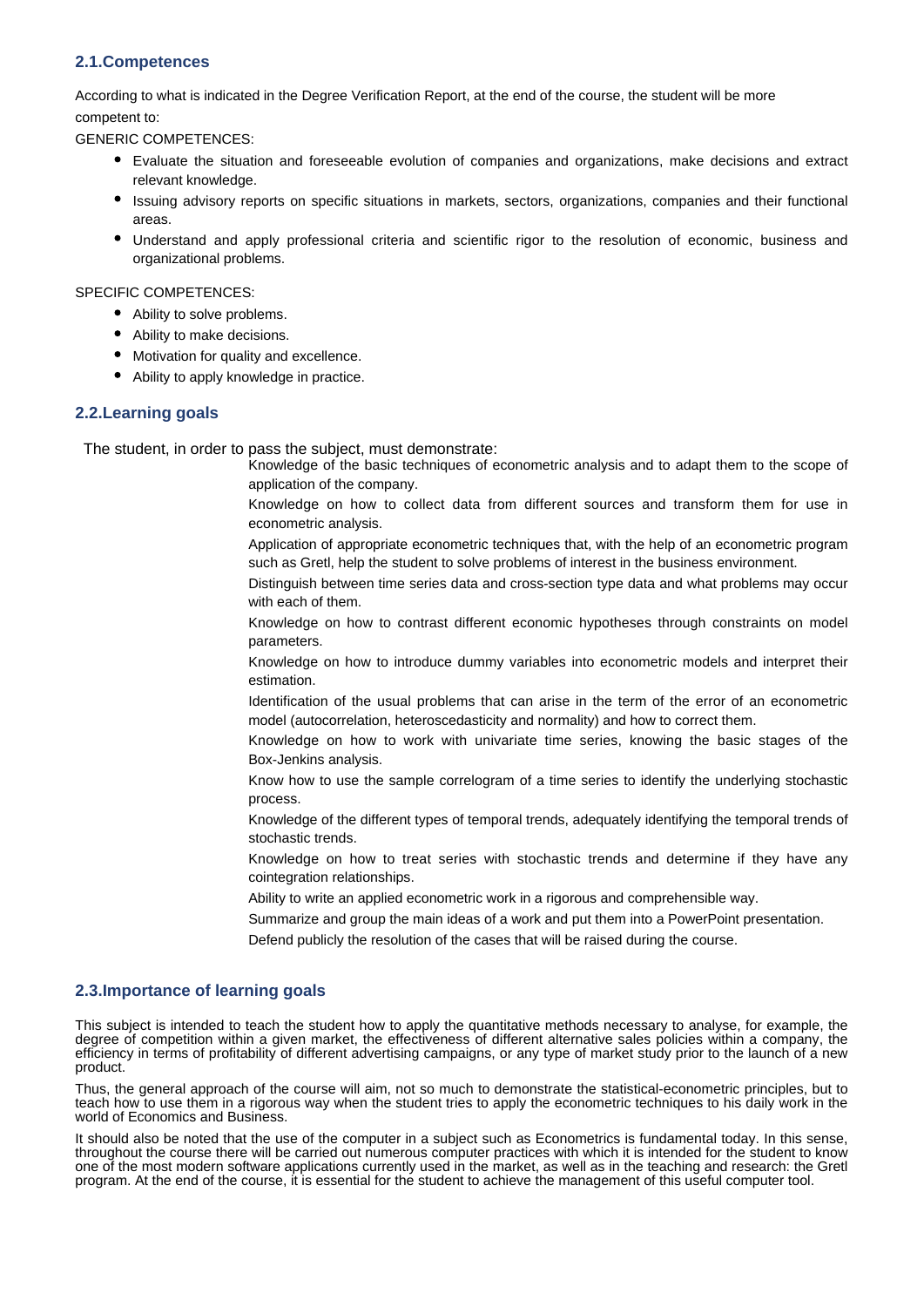### **2.1.Competences**

According to what is indicated in the Degree Verification Report, at the end of the course, the student will be more competent to:

GENERIC COMPETENCES:

- Evaluate the situation and foreseeable evolution of companies and organizations, make decisions and extract relevant knowledge.
- Issuing advisory reports on specific situations in markets, sectors, organizations, companies and their functional areas.
- Understand and apply professional criteria and scientific rigor to the resolution of economic, business and organizational problems.

### SPECIFIC COMPETENCES:

- Ability to solve problems.
- Ability to make decisions.
- Motivation for quality and excellence.
- Ability to apply knowledge in practice.

### **2.2.Learning goals**

The student, in order to pass the subject, must demonstrate:

- Knowledge of the basic techniques of econometric analysis and to adapt them to the scope of application of the company.
- Knowledge on how to collect data from different sources and transform them for use in econometric analysis.
- Application of appropriate econometric techniques that, with the help of an econometric program such as Gretl, help the student to solve problems of interest in the business environment.
- Distinguish between time series data and cross-section type data and what problems may occur with each of them.
- Knowledge on how to contrast different economic hypotheses through constraints on model parameters.
- Knowledge on how to introduce dummy variables into econometric models and interpret their estimation.
- Identification of the usual problems that can arise in the term of the error of an econometric model (autocorrelation, heteroscedasticity and normality) and how to correct them.
- Knowledge on how to work with univariate time series, knowing the basic stages of the Box-Jenkins analysis.
- Know how to use the sample correlogram of a time series to identify the underlying stochastic process.
- Knowledge of the different types of temporal trends, adequately identifying the temporal trends of stochastic trends.
- Knowledge on how to treat series with stochastic trends and determine if they have any cointegration relationships.
- Ability to write an applied econometric work in a rigorous and comprehensible way.
- Summarize and group the main ideas of a work and put them into a PowerPoint presentation.
- Defend publicly the resolution of the cases that will be raised during the course.

### **2.3.Importance of learning goals**

This subject is intended to teach the student how to apply the quantitative methods necessary to analyse, for example, the degree of competition within a given market, the effectiveness of different alternative sales policies within a company, the efficiency in terms of profitability of different advertising campaigns, or any type of market study prior to the launch of a new product.

Thus, the general approach of the course will aim, not so much to demonstrate the statistical-econometric principles, but to teach how to use them in a rigorous way when the student tries to apply the econometric techniques to his daily work in the world of Economics and Business.

It should also be noted that the use of the computer in a subject such as Econometrics is fundamental today. In this sense, throughout the course there will be carried out numerous computer practices with which it is intended for the student to know one of the most modern software applications currently used in the market, as well as in the teaching and research: the Gretl program. At the end of the course, it is essential for the student to achieve the management of this useful computer tool.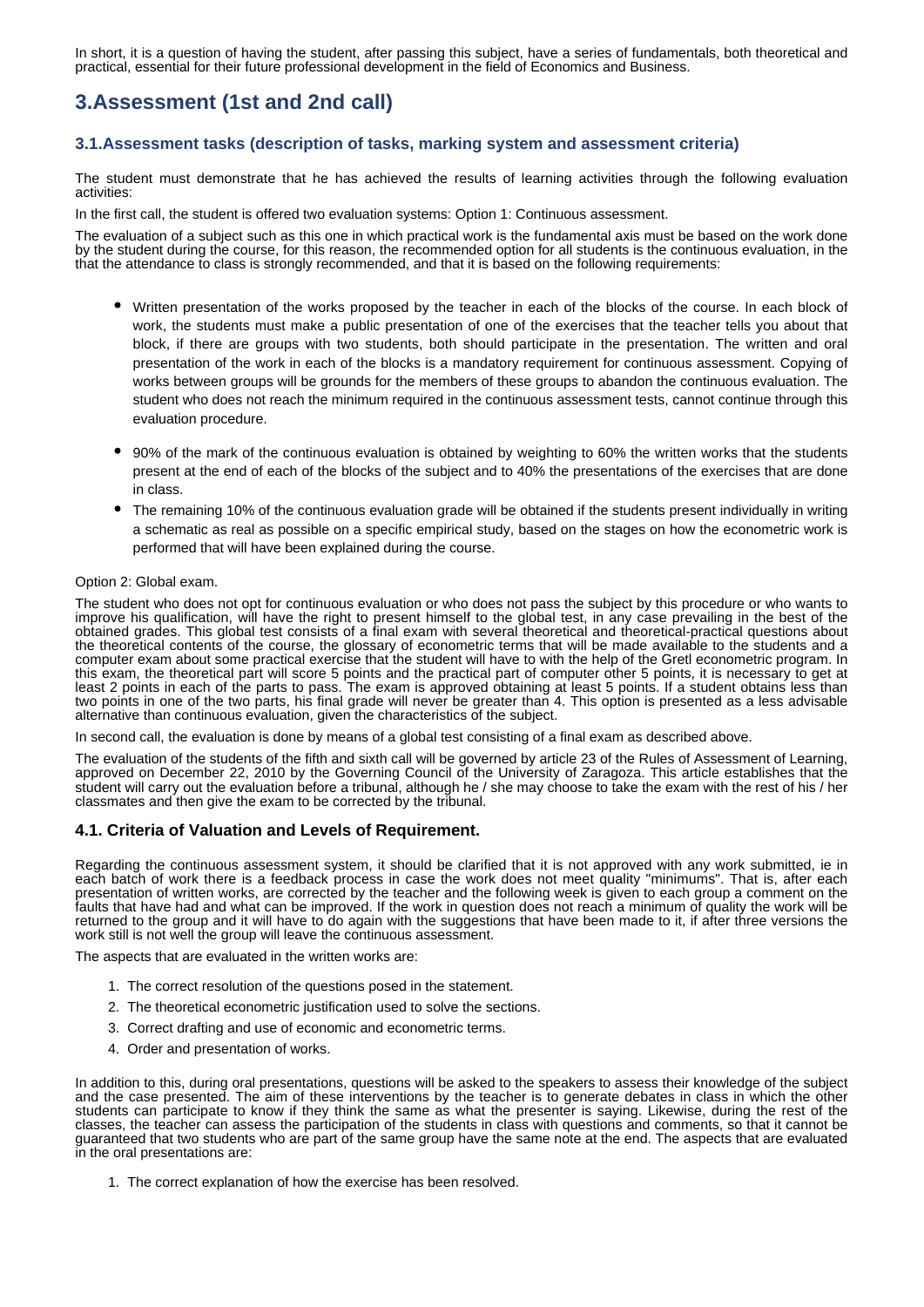In short, it is a question of having the student, after passing this subject, have a series of fundamentals, both theoretical and practical, essential for their future professional development in the field of Economics and Business.

# **3.Assessment (1st and 2nd call)**

### **3.1.Assessment tasks (description of tasks, marking system and assessment criteria)**

The student must demonstrate that he has achieved the results of learning activities through the following evaluation activities:

In the first call, the student is offered two evaluation systems: Option 1: Continuous assessment.

The evaluation of a subject such as this one in which practical work is the fundamental axis must be based on the work done by the student during the course, for this reason, the recommended option for all students is the continuous evaluation, in the that the attendance to class is strongly recommended, and that it is based on the following requirements:

- Written presentation of the works proposed by the teacher in each of the blocks of the course. In each block of work, the students must make a public presentation of one of the exercises that the teacher tells you about that block, if there are groups with two students, both should participate in the presentation. The written and oral presentation of the work in each of the blocks is a mandatory requirement for continuous assessment. Copying of works between groups will be grounds for the members of these groups to abandon the continuous evaluation. The student who does not reach the minimum required in the continuous assessment tests, cannot continue through this evaluation procedure.
- 90% of the mark of the continuous evaluation is obtained by weighting to 60% the written works that the students present at the end of each of the blocks of the subject and to 40% the presentations of the exercises that are done in class.
- The remaining 10% of the continuous evaluation grade will be obtained if the students present individually in writing a schematic as real as possible on a specific empirical study, based on the stages on how the econometric work is performed that will have been explained during the course.

### Option 2: Global exam.

The student who does not opt for continuous evaluation or who does not pass the subject by this procedure or who wants to improve his qualification, will have the right to present himself to the global test, in any case prevailing in the best of the obtained grades. This global test consists of a final exam with several theoretical and theoretical-practical questions about the theoretical contents of the course, the glossary of econometric terms that will be made available to the students and a computer exam about some practical exercise that the student will have to with the help of the Gretl econometric program. In this exam, the theoretical part will score 5 points and the practical part of computer other 5 points, it is necessary to get at least 2 points in each of the parts to pass. The exam is approved obtaining at least 5 points. If a student obtains less than two points in one of the two parts, his final grade will never be greater than 4. This option is presented as a less advisable alternative than continuous evaluation, given the characteristics of the subject.

In second call, the evaluation is done by means of a global test consisting of a final exam as described above.

The evaluation of the students of the fifth and sixth call will be governed by article 23 of the Rules of Assessment of Learning, approved on December 22, 2010 by the Governing Council of the University of Zaragoza. This article establishes that the student will carry out the evaluation before a tribunal, although he / she may choose to take the exam with the rest of his / her classmates and then give the exam to be corrected by the tribunal.

### **4.1. Criteria of Valuation and Levels of Requirement.**

Regarding the continuous assessment system, it should be clarified that it is not approved with any work submitted, ie in each batch of work there is a feedback process in case the work does not meet quality "minimums". That is, after each presentation of written works, are corrected by the teacher and the following week is given to each group a comment on the faults that have had and what can be improved. If the work in question does not reach a minimum of quality the work will be returned to the group and it will have to do again with the suggestions that have been made to it, if after three versions the work still is not well the group will leave the continuous assessment.

The aspects that are evaluated in the written works are:

- 1. The correct resolution of the questions posed in the statement.
- 2. The theoretical econometric justification used to solve the sections.
- 3. Correct drafting and use of economic and econometric terms.
- 4. Order and presentation of works.

In addition to this, during oral presentations, questions will be asked to the speakers to assess their knowledge of the subject and the case presented. The aim of these interventions by the teacher is to generate debates in class in which the other students can participate to know if they think the same as what the presenter is saying. Likewise, during the rest of the classes, the teacher can assess the participation of the students in class with questions and comments, so that it cannot be guaranteed that two students who are part of the same group have the same note at the end. The aspects that are evaluated in the oral presentations are:

1. The correct explanation of how the exercise has been resolved.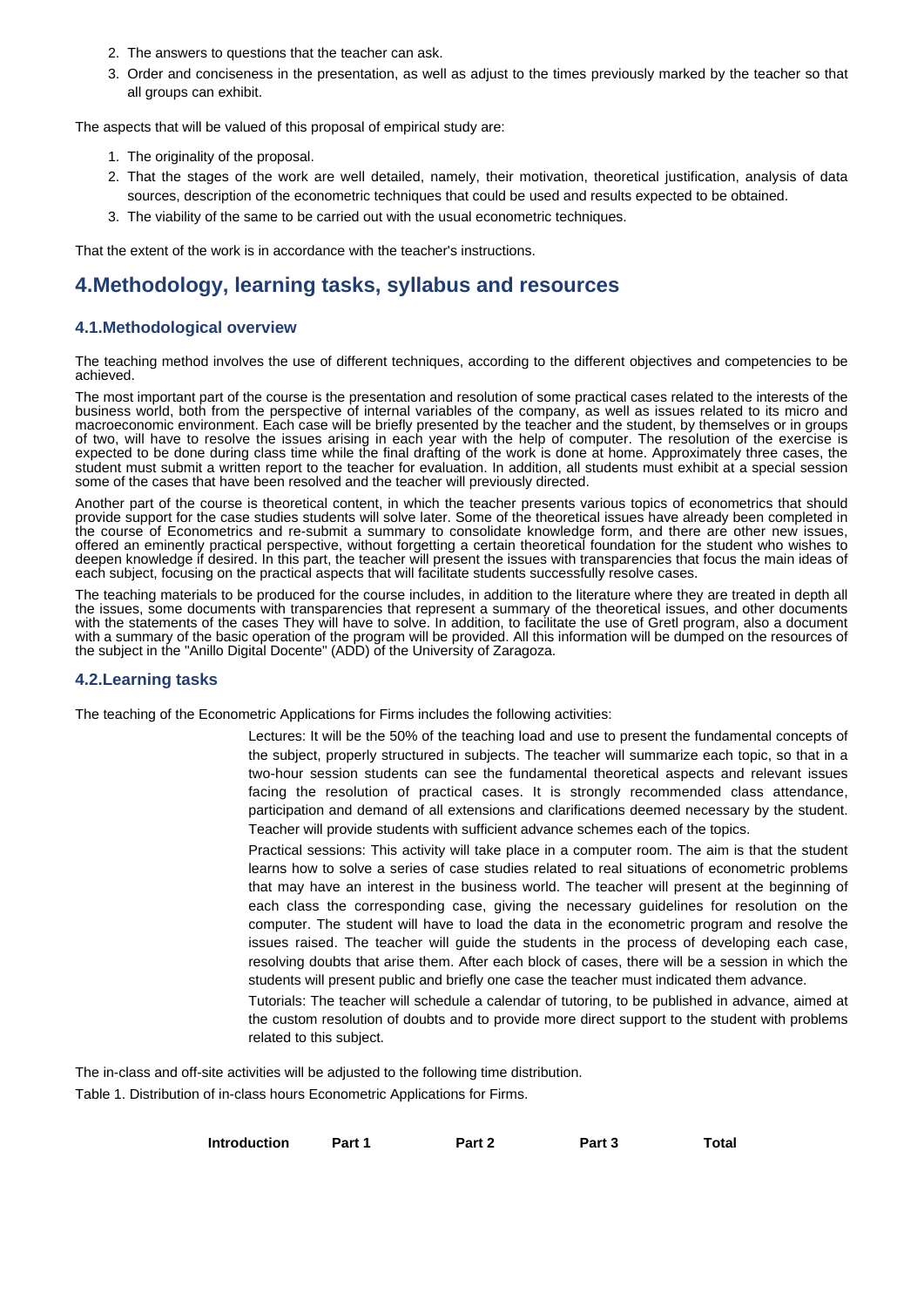- 2. The answers to questions that the teacher can ask.
- 3. Order and conciseness in the presentation, as well as adjust to the times previously marked by the teacher so that all groups can exhibit.

The aspects that will be valued of this proposal of empirical study are:

- 1. The originality of the proposal.
- 2. That the stages of the work are well detailed, namely, their motivation, theoretical justification, analysis of data sources, description of the econometric techniques that could be used and results expected to be obtained.
- 3. The viability of the same to be carried out with the usual econometric techniques.

That the extent of the work is in accordance with the teacher's instructions.

# **4.Methodology, learning tasks, syllabus and resources**

### **4.1.Methodological overview**

The teaching method involves the use of different techniques, according to the different objectives and competencies to be achieved.

The most important part of the course is the presentation and resolution of some practical cases related to the interests of the business world, both from the perspective of internal variables of the company, as well as issues related to its micro and macroeconomic environment. Each case will be briefly presented by the teacher and the student, by themselves or in groups of two, will have to resolve the issues arising in each year with the help of computer. The resolution of the exercise is expected to be done during class time while the final drafting of the work is done at home. Approximately three cases, the student must submit a written report to the teacher for evaluation. In addition, all students must exhibit at a special session some of the cases that have been resolved and the teacher will previously directed.

Another part of the course is theoretical content, in which the teacher presents various topics of econometrics that should provide support for the case studies students will solve later. Some of the theoretical issues have already been completed in the course of Econometrics and re-submit a summary to consolidate knowledge form, and there are other new issues, offered an eminently practical perspective, without forgetting a certain theoretical foundation for the student who wishes to deepen knowledge if desired. In this part, the teacher will present the issues with transparencies that focus the main ideas of each subject, focusing on the practical aspects that will facilitate students successfully resolve cases.

The teaching materials to be produced for the course includes, in addition to the literature where they are treated in depth all the issues, some documents with transparencies that represent a summary of the theoretical issues, and other documents with the statements of the cases They will have to solve. In addition, to facilitate the use of Gretl program, also a document with a summary of the basic operation of the program will be provided. All this information will be dumped on the resources of the subject in the "Anillo Digital Docente" (ADD) of the University of Zaragoza.

### **4.2.Learning tasks**

The teaching of the Econometric Applications for Firms includes the following activities:

- Lectures: It will be the 50% of the teaching load and use to present the fundamental concepts of the subject, properly structured in subjects. The teacher will summarize each topic, so that in a two-hour session students can see the fundamental theoretical aspects and relevant issues facing the resolution of practical cases. It is strongly recommended class attendance, participation and demand of all extensions and clarifications deemed necessary by the student. Teacher will provide students with sufficient advance schemes each of the topics.
- Practical sessions: This activity will take place in a computer room. The aim is that the student learns how to solve a series of case studies related to real situations of econometric problems that may have an interest in the business world. The teacher will present at the beginning of each class the corresponding case, giving the necessary guidelines for resolution on the computer. The student will have to load the data in the econometric program and resolve the issues raised. The teacher will guide the students in the process of developing each case, resolving doubts that arise them. After each block of cases, there will be a session in which the students will present public and briefly one case the teacher must indicated them advance.

Tutorials: The teacher will schedule a calendar of tutoring, to be published in advance, aimed at the custom resolution of doubts and to provide more direct support to the student with problems related to this subject.

The in-class and off-site activities will be adjusted to the following time distribution.

Table 1. Distribution of in-class hours Econometric Applications for Firms.

| <b>Introduction</b> | Part 1 | Part 2 | Part 3 | <b>Total</b> |
|---------------------|--------|--------|--------|--------------|
|                     |        |        |        |              |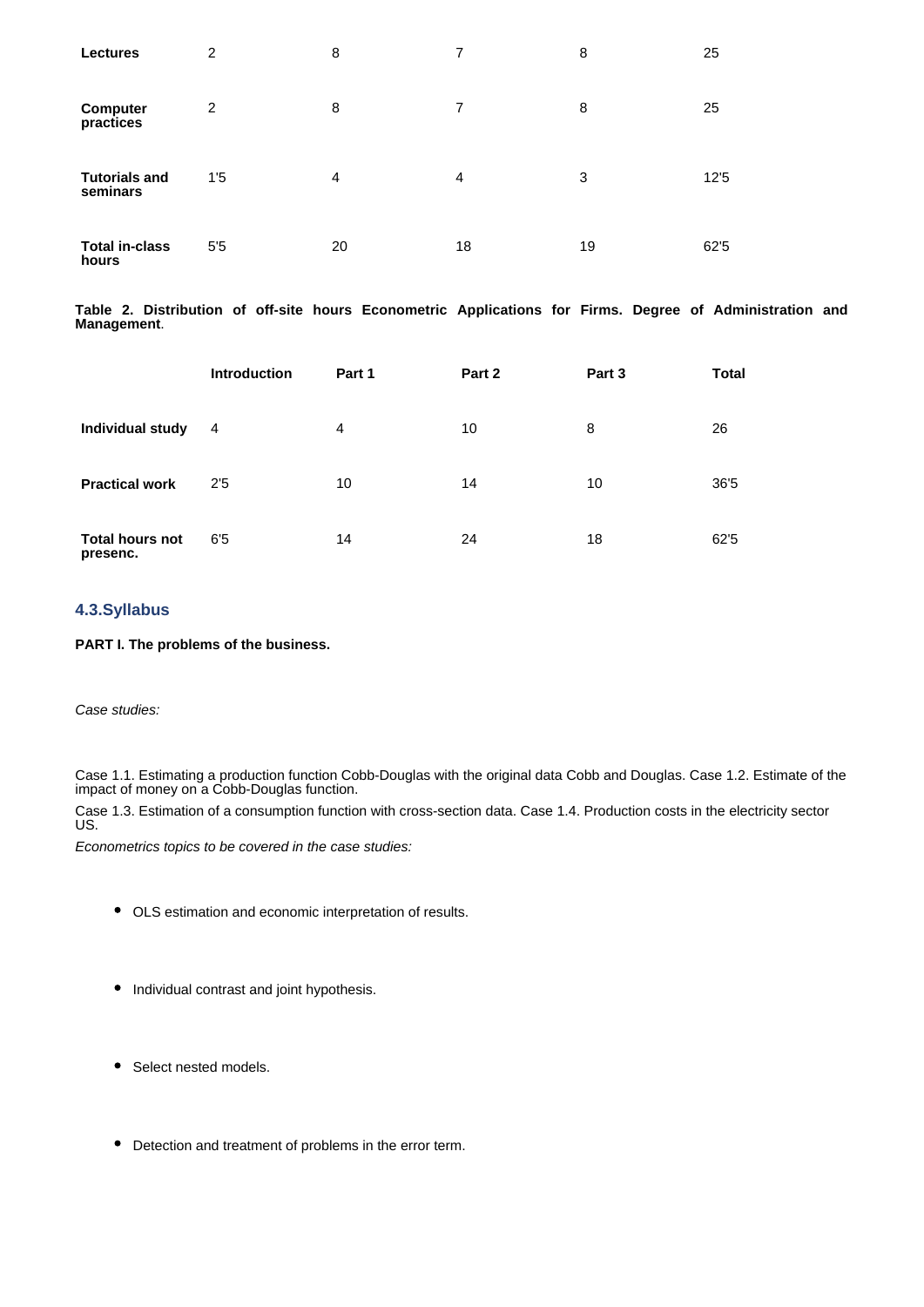| <b>Lectures</b>                  | 2              | 8  | 7  | 8  | 25   |
|----------------------------------|----------------|----|----|----|------|
| Computer<br>practices            | 2              | 8  | 7  | 8  | 25   |
| <b>Tutorials and</b><br>seminars | 1'5            | 4  | 4  | 3  | 12'5 |
| <b>Total in-class</b><br>hours   | 5 <sup>5</sup> | 20 | 18 | 19 | 62'5 |

**Table 2. Distribution of off-site hours Econometric Applications for Firms. Degree of Administration and Management**.

|                                    | <b>Introduction</b> | Part 1         | Part 2 | Part 3 | <b>Total</b> |
|------------------------------------|---------------------|----------------|--------|--------|--------------|
| Individual study                   | $\overline{4}$      | $\overline{4}$ | 10     | 8      | 26           |
| <b>Practical work</b>              | 2'5                 | 10             | 14     | 10     | 36'5         |
| <b>Total hours not</b><br>presenc. | 6'5                 | 14             | 24     | 18     | 62'5         |

## **4.3.Syllabus**

**PART I. The problems of the business.**

*Case studies:*

Case 1.1. Estimating a production function Cobb-Douglas with the original data Cobb and Douglas. Case 1.2. Estimate of the impact of money on a Cobb-Douglas function.

Case 1.3. Estimation of a consumption function with cross-section data. Case 1.4. Production costs in the electricity sector US.

*Econometrics topics to be covered in the case studies:*

- OLS estimation and economic interpretation of results.
- Individual contrast and joint hypothesis.
- Select nested models.
- Detection and treatment of problems in the error term.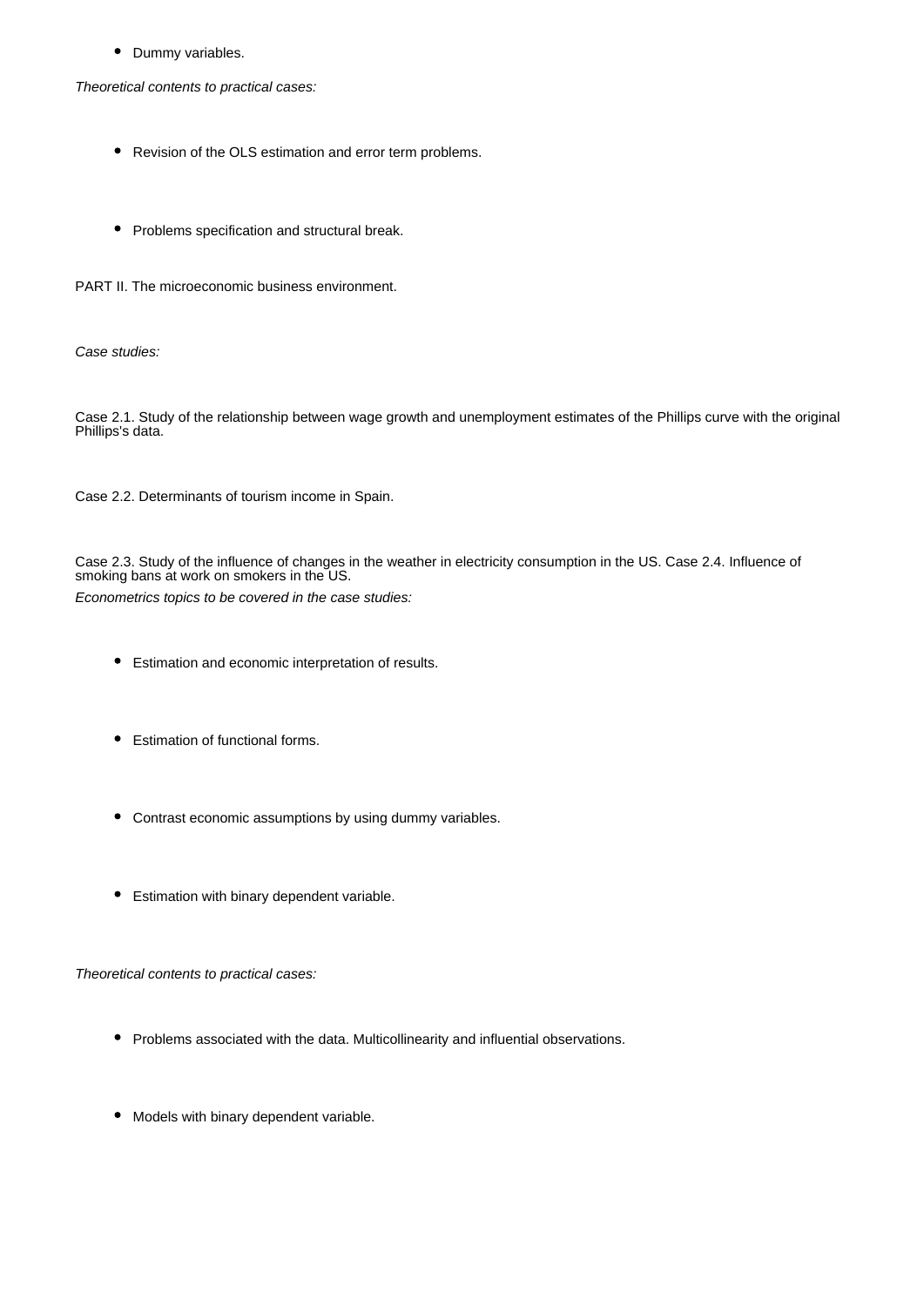$\bullet$ Dummy variables.

*Theoretical contents to practical cases:*

- Revision of the OLS estimation and error term problems.
- Problems specification and structural break.

PART II. The microeconomic business environment.

*Case studies:*

Case 2.1. Study of the relationship between wage growth and unemployment estimates of the Phillips curve with the original Phillips's data.

Case 2.2. Determinants of tourism income in Spain.

Case 2.3. Study of the influence of changes in the weather in electricity consumption in the US. Case 2.4. Influence of smoking bans at work on smokers in the US. *Econometrics topics to be covered in the case studies:*

- Estimation and economic interpretation of results.
- Estimation of functional forms.
- Contrast economic assumptions by using dummy variables.
- **•** Estimation with binary dependent variable.

*Theoretical contents to practical cases:*

- Problems associated with the data. Multicollinearity and influential observations.
- $\bullet$ Models with binary dependent variable.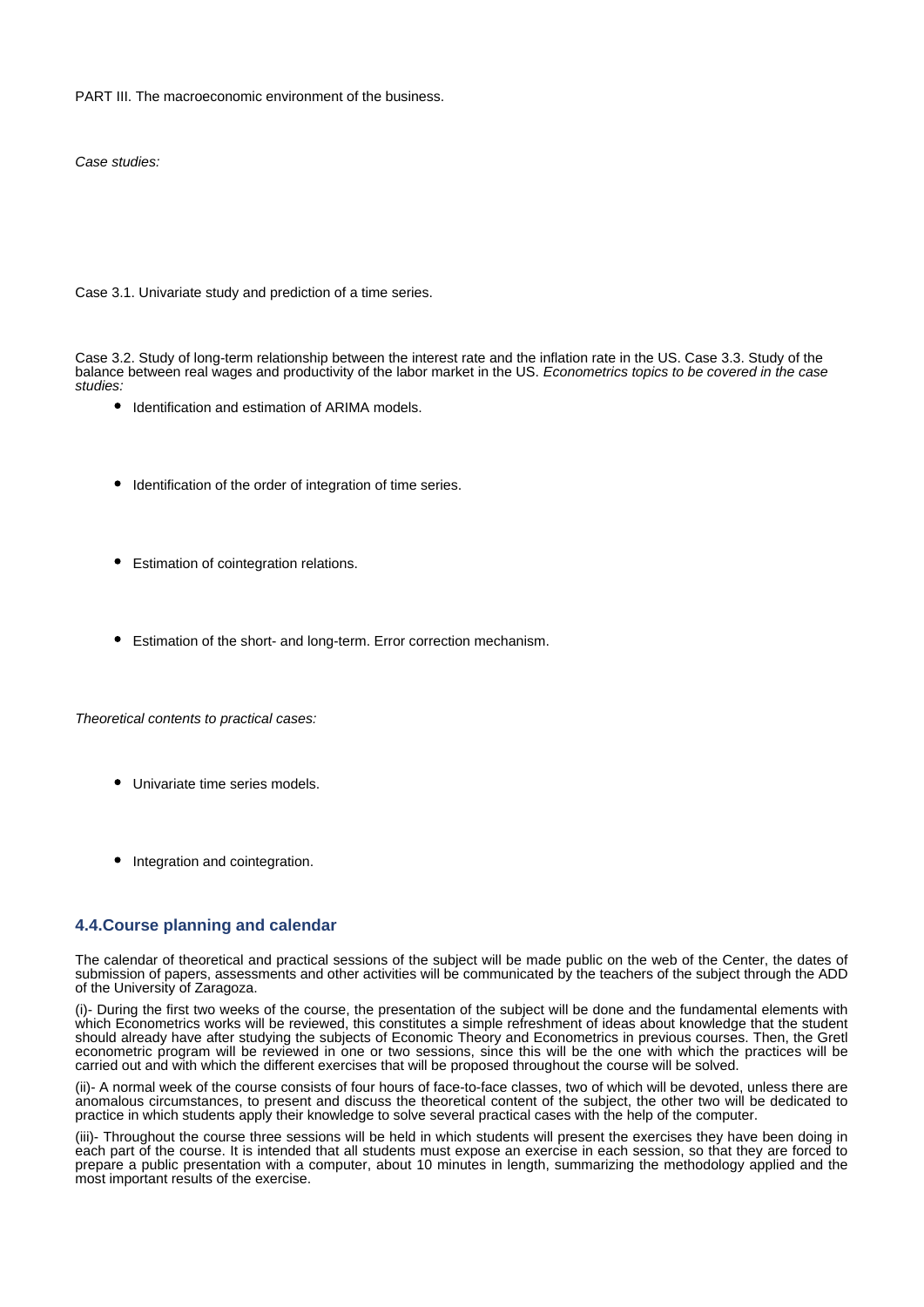PART III. The macroeconomic environment of the business.

*Case studies:*

Case 3.1. Univariate study and prediction of a time series.

Case 3.2. Study of long-term relationship between the interest rate and the inflation rate in the US. Case 3.3. Study of the balance between real wages and productivity of the labor market in the US. *Econometrics topics to be covered in the case studies:*

- $\bullet$  Identification and estimation of ARIMA models.
- Identification of the order of integration of time series.
- Estimation of cointegration relations.
- Estimation of the short- and long-term. Error correction mechanism.

*Theoretical contents to practical cases:*

- Univariate time series models.
- Integration and cointegration.

### **4.4.Course planning and calendar**

The calendar of theoretical and practical sessions of the subject will be made public on the web of the Center, the dates of submission of papers, assessments and other activities will be communicated by the teachers of the subject through the ADD of the University of Zaragoza.

(i)- During the first two weeks of the course, the presentation of the subject will be done and the fundamental elements with which Econometrics works will be reviewed, this constitutes a simple refreshment of ideas about knowledge that the student should already have after studying the subjects of Economic Theory and Econometrics in previous courses. Then, the Gretl econometric program will be reviewed in one or two sessions, since this will be the one with which the practices will be carried out and with which the different exercises that will be proposed throughout the course will be solved.

(ii)- A normal week of the course consists of four hours of face-to-face classes, two of which will be devoted, unless there are anomalous circumstances, to present and discuss the theoretical content of the subject, the other two will be dedicated to practice in which students apply their knowledge to solve several practical cases with the help of the computer.

(iii)- Throughout the course three sessions will be held in which students will present the exercises they have been doing in each part of the course. It is intended that all students must expose an exercise in each session, so that they are forced to prepare a public presentation with a computer, about 10 minutes in length, summarizing the methodology applied and the most important results of the exercise.